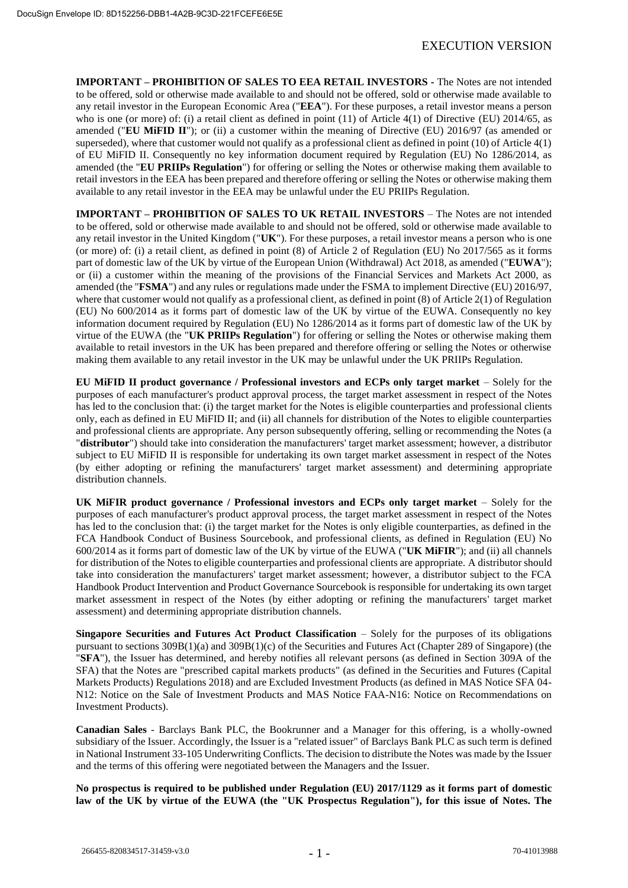**IMPORTANT – PROHIBITION OF SALES TO EEA RETAIL INVESTORS -** The Notes are not intended to be offered, sold or otherwise made available to and should not be offered, sold or otherwise made available to any retail investor in the European Economic Area ("**EEA**"). For these purposes, a retail investor means a person who is one (or more) of: (i) a retail client as defined in point (11) of Article 4(1) of Directive (EU) 2014/65, as amended ("**EU MiFID II**"); or (ii) a customer within the meaning of Directive (EU) 2016/97 (as amended or superseded), where that customer would not qualify as a professional client as defined in point (10) of Article 4(1) of EU MiFID II. Consequently no key information document required by Regulation (EU) No 1286/2014, as amended (the "**EU PRIIPs Regulation**") for offering or selling the Notes or otherwise making them available to retail investors in the EEA has been prepared and therefore offering or selling the Notes or otherwise making them available to any retail investor in the EEA may be unlawful under the EU PRIIPs Regulation.

**IMPORTANT – PROHIBITION OF SALES TO UK RETAIL INVESTORS** – The Notes are not intended to be offered, sold or otherwise made available to and should not be offered, sold or otherwise made available to any retail investor in the United Kingdom ("**UK**"). For these purposes, a retail investor means a person who is one (or more) of: (i) a retail client, as defined in point (8) of Article 2 of Regulation (EU) No 2017/565 as it forms part of domestic law of the UK by virtue of the European Union (Withdrawal) Act 2018, as amended ("**EUWA**"); or (ii) a customer within the meaning of the provisions of the Financial Services and Markets Act 2000, as amended (the "**FSMA**") and any rules or regulations made under the FSMA to implement Directive (EU) 2016/97, where that customer would not qualify as a professional client, as defined in point (8) of Article 2(1) of Regulation (EU) No 600/2014 as it forms part of domestic law of the UK by virtue of the EUWA. Consequently no key information document required by Regulation (EU) No 1286/2014 as it forms part of domestic law of the UK by virtue of the EUWA (the "**UK PRIIPs Regulation**") for offering or selling the Notes or otherwise making them available to retail investors in the UK has been prepared and therefore offering or selling the Notes or otherwise making them available to any retail investor in the UK may be unlawful under the UK PRIIPs Regulation.

**EU MiFID II product governance / Professional investors and ECPs only target market** – Solely for the purposes of each manufacturer's product approval process, the target market assessment in respect of the Notes has led to the conclusion that: (i) the target market for the Notes is eligible counterparties and professional clients only, each as defined in EU MiFID II; and (ii) all channels for distribution of the Notes to eligible counterparties and professional clients are appropriate. Any person subsequently offering, selling or recommending the Notes (a "**distributor**") should take into consideration the manufacturers' target market assessment; however, a distributor subject to EU MiFID II is responsible for undertaking its own target market assessment in respect of the Notes (by either adopting or refining the manufacturers' target market assessment) and determining appropriate distribution channels.

**UK MiFIR product governance / Professional investors and ECPs only target market** – Solely for the purposes of each manufacturer's product approval process, the target market assessment in respect of the Notes has led to the conclusion that: (i) the target market for the Notes is only eligible counterparties, as defined in the FCA Handbook Conduct of Business Sourcebook, and professional clients, as defined in Regulation (EU) No 600/2014 as it forms part of domestic law of the UK by virtue of the EUWA ("**UK MiFIR**"); and (ii) all channels for distribution of the Notes to eligible counterparties and professional clients are appropriate. A distributor should take into consideration the manufacturers' target market assessment; however, a distributor subject to the FCA Handbook Product Intervention and Product Governance Sourcebook is responsible for undertaking its own target market assessment in respect of the Notes (by either adopting or refining the manufacturers' target market assessment) and determining appropriate distribution channels.

**Singapore Securities and Futures Act Product Classification** – Solely for the purposes of its obligations pursuant to sections 309B(1)(a) and 309B(1)(c) of the Securities and Futures Act (Chapter 289 of Singapore) (the "**SFA**"), the Issuer has determined, and hereby notifies all relevant persons (as defined in Section 309A of the SFA) that the Notes are "prescribed capital markets products" (as defined in the Securities and Futures (Capital Markets Products) Regulations 2018) and are Excluded Investment Products (as defined in MAS Notice SFA 04- N12: Notice on the Sale of Investment Products and MAS Notice FAA-N16: Notice on Recommendations on Investment Products).

**Canadian Sales** - Barclays Bank PLC, the Bookrunner and a Manager for this offering, is a wholly-owned subsidiary of the Issuer. Accordingly, the Issuer is a "related issuer" of Barclays Bank PLC as such term is defined in National Instrument 33-105 Underwriting Conflicts. The decision to distribute the Notes was made by the Issuer and the terms of this offering were negotiated between the Managers and the Issuer.

**No prospectus is required to be published under Regulation (EU) 2017/1129 as it forms part of domestic law of the UK by virtue of the EUWA (the "UK Prospectus Regulation"), for this issue of Notes. The**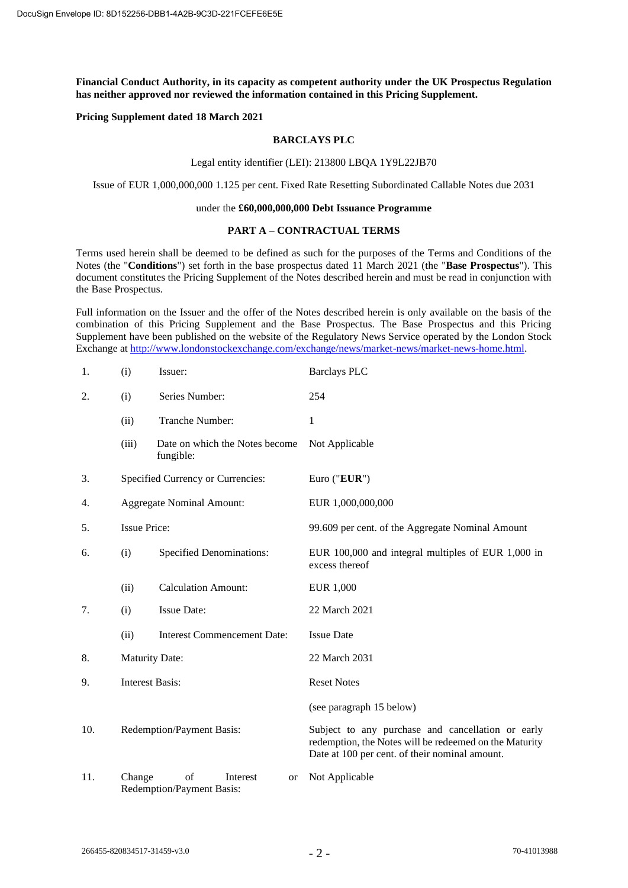**Financial Conduct Authority, in its capacity as competent authority under the UK Prospectus Regulation has neither approved nor reviewed the information contained in this Pricing Supplement.**

## **Pricing Supplement dated 18 March 2021**

## **BARCLAYS PLC**

Legal entity identifier (LEI): 213800 LBQA 1Y9L22JB70

Issue of EUR 1,000,000,000 1.125 per cent. Fixed Rate Resetting Subordinated Callable Notes due 2031

### under the **£60,000,000,000 Debt Issuance Programme**

### **PART A – CONTRACTUAL TERMS**

Terms used herein shall be deemed to be defined as such for the purposes of the Terms and Conditions of the Notes (the "**Conditions**") set forth in the base prospectus dated 11 March 2021 (the "**Base Prospectus**"). This document constitutes the Pricing Supplement of the Notes described herein and must be read in conjunction with the Base Prospectus.

Full information on the Issuer and the offer of the Notes described herein is only available on the basis of the combination of this Pricing Supplement and the Base Prospectus. The Base Prospectus and this Pricing Supplement have been published on the website of the Regulatory News Service operated by the London Stock Exchange a[t http://www.londonstockexchange.com/exchange/news/market-news/market-news-home.html.](http://www.londonstockexchange.com/exchange/news/market-news/market-news-home.html)

| 1.  | (i)                               | Issuer:                                                  | <b>Barclays PLC</b>                                                                                                                                           |
|-----|-----------------------------------|----------------------------------------------------------|---------------------------------------------------------------------------------------------------------------------------------------------------------------|
| 2.  | (i)                               | Series Number:                                           | 254                                                                                                                                                           |
|     | (ii)                              | Tranche Number:                                          | 1                                                                                                                                                             |
|     | (iii)                             | Date on which the Notes become<br>fungible:              | Not Applicable                                                                                                                                                |
| 3.  | Specified Currency or Currencies: |                                                          | Euro ("EUR")                                                                                                                                                  |
| 4.  |                                   | <b>Aggregate Nominal Amount:</b>                         | EUR 1,000,000,000                                                                                                                                             |
| 5.  | <b>Issue Price:</b>               |                                                          | 99.609 per cent. of the Aggregate Nominal Amount                                                                                                              |
| 6.  | (i)                               | <b>Specified Denominations:</b>                          | EUR 100,000 and integral multiples of EUR 1,000 in<br>excess thereof                                                                                          |
|     | (ii)                              | <b>Calculation Amount:</b>                               | EUR 1,000                                                                                                                                                     |
| 7.  | (i)                               | <b>Issue Date:</b>                                       | 22 March 2021                                                                                                                                                 |
|     | (ii)                              | <b>Interest Commencement Date:</b>                       | <b>Issue Date</b>                                                                                                                                             |
| 8.  | <b>Maturity Date:</b>             |                                                          | 22 March 2031                                                                                                                                                 |
| 9.  | <b>Interest Basis:</b>            |                                                          | <b>Reset Notes</b>                                                                                                                                            |
|     |                                   |                                                          | (see paragraph 15 below)                                                                                                                                      |
| 10. | Redemption/Payment Basis:         |                                                          | Subject to any purchase and cancellation or early<br>redemption, the Notes will be redeemed on the Maturity<br>Date at 100 per cent. of their nominal amount. |
| 11. | Change                            | of<br>Interest<br><b>or</b><br>Redemption/Payment Basis: | Not Applicable                                                                                                                                                |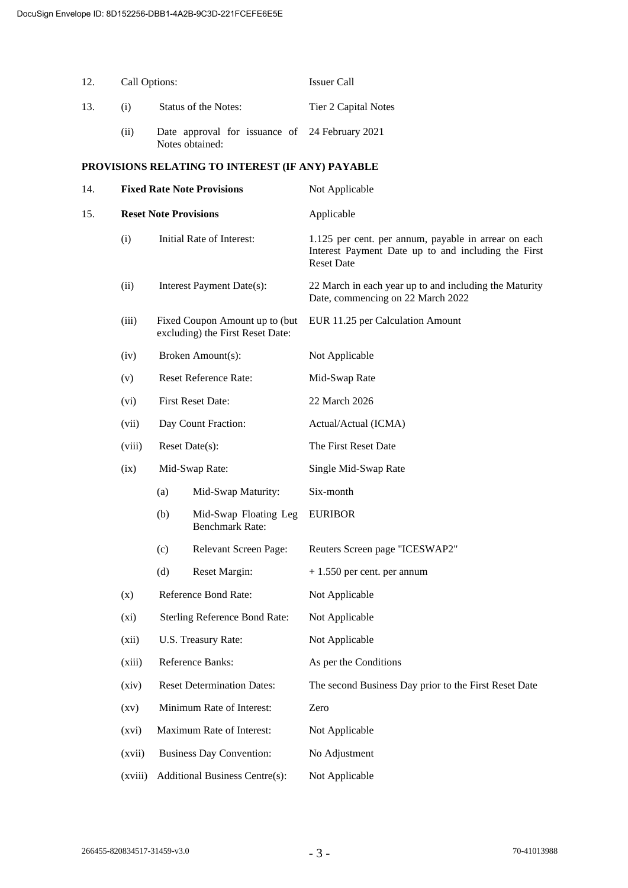| 12. | Call Options:                |                                      |                                                                    | <b>Issuer Call</b>                                                                                                               |
|-----|------------------------------|--------------------------------------|--------------------------------------------------------------------|----------------------------------------------------------------------------------------------------------------------------------|
| 13. | (i)                          | Status of the Notes:                 |                                                                    | Tier 2 Capital Notes                                                                                                             |
|     | (ii)                         |                                      | Date approval for issuance of<br>Notes obtained:                   | 24 February 2021                                                                                                                 |
|     |                              |                                      | PROVISIONS RELATING TO INTEREST (IF ANY) PAYABLE                   |                                                                                                                                  |
| 14. |                              |                                      | <b>Fixed Rate Note Provisions</b>                                  | Not Applicable                                                                                                                   |
| 15. | <b>Reset Note Provisions</b> |                                      |                                                                    | Applicable                                                                                                                       |
|     | (i)                          |                                      | Initial Rate of Interest:                                          | 1.125 per cent. per annum, payable in arrear on each<br>Interest Payment Date up to and including the First<br><b>Reset Date</b> |
|     | (ii)                         |                                      | Interest Payment Date(s):                                          | 22 March in each year up to and including the Maturity<br>Date, commencing on 22 March 2022                                      |
|     | (iii)                        |                                      | Fixed Coupon Amount up to (but<br>excluding) the First Reset Date: | EUR 11.25 per Calculation Amount                                                                                                 |
|     | (iv)                         |                                      | Broken Amount(s):                                                  | Not Applicable                                                                                                                   |
|     | (v)                          |                                      | <b>Reset Reference Rate:</b>                                       | Mid-Swap Rate                                                                                                                    |
|     | (vi)                         | <b>First Reset Date:</b>             |                                                                    | 22 March 2026                                                                                                                    |
|     | (vii)                        | Day Count Fraction:                  |                                                                    | Actual/Actual (ICMA)                                                                                                             |
|     | (viii)                       | Reset Date(s):                       |                                                                    | The First Reset Date                                                                                                             |
|     | (ix)                         |                                      | Mid-Swap Rate:                                                     | Single Mid-Swap Rate                                                                                                             |
|     |                              | (a)                                  | Mid-Swap Maturity:                                                 | Six-month                                                                                                                        |
|     |                              | (b)                                  | Mid-Swap Floating Leg<br><b>Benchmark Rate:</b>                    | <b>EURIBOR</b>                                                                                                                   |
|     |                              | (c)                                  | <b>Relevant Screen Page:</b>                                       | Reuters Screen page "ICESWAP2"                                                                                                   |
|     |                              | (d)                                  | Reset Margin:                                                      | $+1.550$ per cent. per annum                                                                                                     |
|     | (x)                          |                                      | Reference Bond Rate:                                               | Not Applicable                                                                                                                   |
|     | (xi)                         | <b>Sterling Reference Bond Rate:</b> |                                                                    | Not Applicable                                                                                                                   |
|     | (xii)                        | U.S. Treasury Rate:                  |                                                                    | Not Applicable                                                                                                                   |
|     | (xiii)                       | Reference Banks:                     |                                                                    | As per the Conditions                                                                                                            |
|     | (xiv)                        | <b>Reset Determination Dates:</b>    |                                                                    | The second Business Day prior to the First Reset Date                                                                            |
|     | (xv)                         | Minimum Rate of Interest:            |                                                                    | Zero                                                                                                                             |
|     | (xvi)                        |                                      | Maximum Rate of Interest:                                          | Not Applicable                                                                                                                   |
|     | (xvii)                       |                                      | <b>Business Day Convention:</b>                                    | No Adjustment                                                                                                                    |
|     | (xviii)                      | Additional Business Centre(s):       |                                                                    | Not Applicable                                                                                                                   |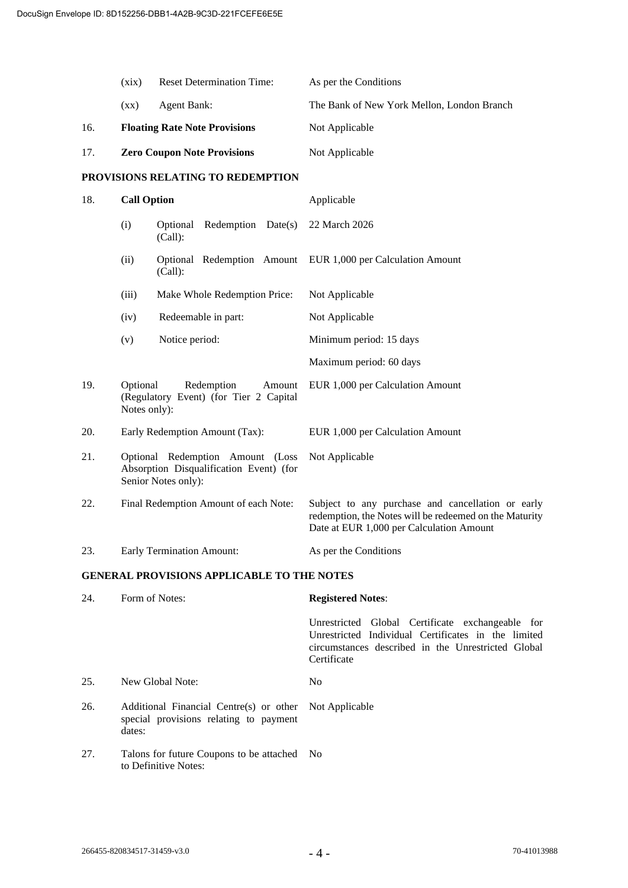|                                                   | (xix)                                                                                              | <b>Reset Determination Time:</b>                               | As per the Conditions                                                                                                                                   |
|---------------------------------------------------|----------------------------------------------------------------------------------------------------|----------------------------------------------------------------|---------------------------------------------------------------------------------------------------------------------------------------------------------|
|                                                   | $(\mathbf{X}\mathbf{X})$                                                                           | <b>Agent Bank:</b>                                             | The Bank of New York Mellon, London Branch                                                                                                              |
| 16.                                               |                                                                                                    | <b>Floating Rate Note Provisions</b>                           | Not Applicable                                                                                                                                          |
| 17.                                               |                                                                                                    | <b>Zero Coupon Note Provisions</b>                             | Not Applicable                                                                                                                                          |
| <b>PROVISIONS RELATING TO REDEMPTION</b>          |                                                                                                    |                                                                |                                                                                                                                                         |
| 18.                                               | <b>Call Option</b>                                                                                 |                                                                | Applicable                                                                                                                                              |
|                                                   | (i)                                                                                                | Optional<br>Redemption $Date(s)$<br>(Call):                    | 22 March 2026                                                                                                                                           |
|                                                   | (ii)                                                                                               | Optional Redemption Amount<br>(Call):                          | EUR 1,000 per Calculation Amount                                                                                                                        |
|                                                   | (iii)                                                                                              | Make Whole Redemption Price:                                   | Not Applicable                                                                                                                                          |
|                                                   | (iv)                                                                                               | Redeemable in part:                                            | Not Applicable                                                                                                                                          |
|                                                   | (v)                                                                                                | Notice period:                                                 | Minimum period: 15 days                                                                                                                                 |
|                                                   |                                                                                                    |                                                                | Maximum period: 60 days                                                                                                                                 |
| 19.                                               | Optional<br>Notes only):                                                                           | Redemption<br>Amount<br>(Regulatory Event) (for Tier 2 Capital | EUR 1,000 per Calculation Amount                                                                                                                        |
| 20.                                               | Early Redemption Amount (Tax):                                                                     |                                                                | EUR 1,000 per Calculation Amount                                                                                                                        |
| 21.                                               | Optional Redemption Amount (Loss<br>Absorption Disqualification Event) (for<br>Senior Notes only): |                                                                | Not Applicable                                                                                                                                          |
| 22.                                               |                                                                                                    | Final Redemption Amount of each Note:                          | Subject to any purchase and cancellation or early<br>redemption, the Notes will be redeemed on the Maturity<br>Date at EUR 1,000 per Calculation Amount |
| 23.                                               |                                                                                                    | <b>Early Termination Amount:</b>                               | As per the Conditions                                                                                                                                   |
| <b>GENERAL PROVISIONS APPLICABLE TO THE NOTES</b> |                                                                                                    |                                                                |                                                                                                                                                         |

| 24. | Form of Notes:                                                                                             | <b>Registered Notes:</b>                                                                                                                                                     |  |
|-----|------------------------------------------------------------------------------------------------------------|------------------------------------------------------------------------------------------------------------------------------------------------------------------------------|--|
|     |                                                                                                            | Unrestricted Global Certificate exchangeable for<br>Unrestricted Individual Certificates in the limited<br>circumstances described in the Unrestricted Global<br>Certificate |  |
| 25. | New Global Note:                                                                                           | N <sub>0</sub>                                                                                                                                                               |  |
| 26. | Additional Financial Centre(s) or other Not Applicable<br>special provisions relating to payment<br>dates: |                                                                                                                                                                              |  |
| 27. | Talons for future Coupons to be attached No<br>to Definitive Notes:                                        |                                                                                                                                                                              |  |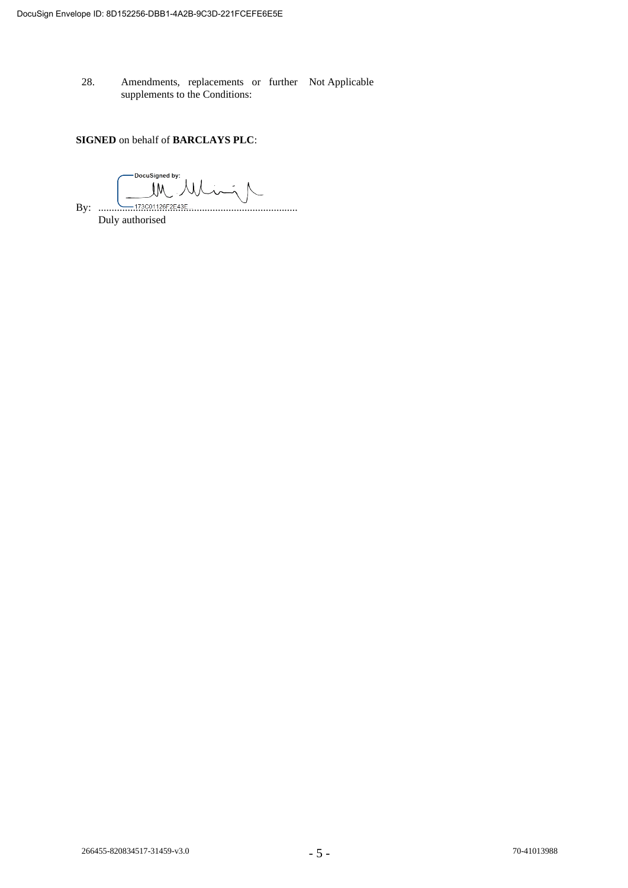28. Amendments, replacements or further supplements to the Conditions: Not Applicable

# **SIGNED** on behalf of **BARCLAYS PLC**:

DocuSigned by:  $\mathsf{M}$ By: ...........................................................................

Duly authorised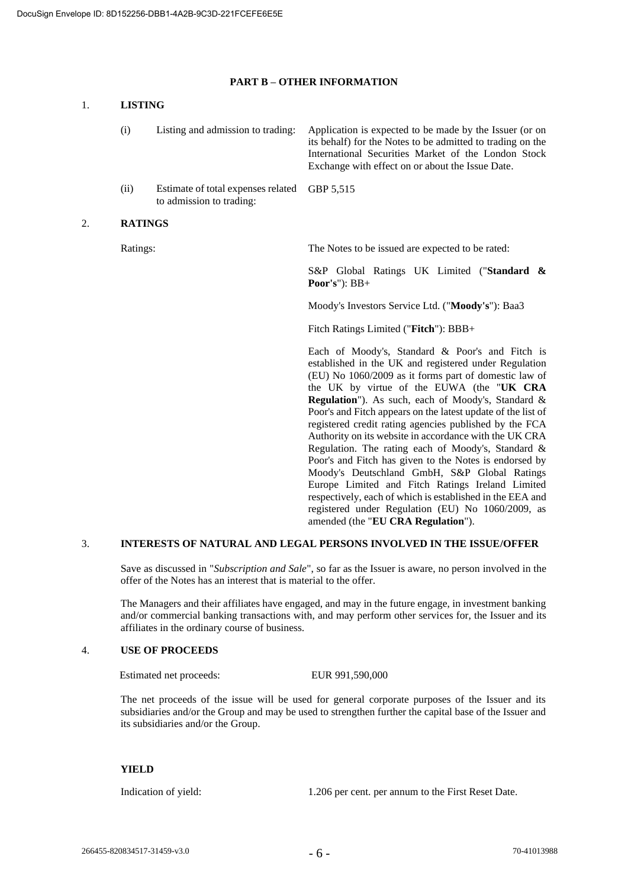## **PART B – OTHER INFORMATION**

## 1. **LISTING**

| (i)  | Listing and admission to trading:            | Application is expected to be made by the Issuer (or on<br>its behalf) for the Notes to be admitted to trading on the<br>International Securities Market of the London Stock<br>Exchange with effect on or about the Issue Date. |
|------|----------------------------------------------|----------------------------------------------------------------------------------------------------------------------------------------------------------------------------------------------------------------------------------|
| (ii) | Estimate of total expenses related GBP 5,515 |                                                                                                                                                                                                                                  |

to admission to trading:

# 2. **RATINGS**

Ratings: The Notes to be issued are expected to be rated:

S&P Global Ratings UK Limited ("**Standard & Poor's**"): BB+

Moody's Investors Service Ltd. ("**Moody's**"): Baa3

Fitch Ratings Limited ("**Fitch**"): BBB+

Each of Moody's, Standard & Poor's and Fitch is established in the UK and registered under Regulation (EU) No 1060/2009 as it forms part of domestic law of the UK by virtue of the EUWA (the "**UK CRA Regulation**"). As such, each of Moody's, Standard & Poor's and Fitch appears on the latest update of the list of registered credit rating agencies published by the FCA Authority on its website in accordance with the UK CRA Regulation. The rating each of Moody's, Standard & Poor's and Fitch has given to the Notes is endorsed by Moody's Deutschland GmbH, S&P Global Ratings Europe Limited and Fitch Ratings Ireland Limited respectively, each of which is established in the EEA and registered under Regulation (EU) No 1060/2009, as amended (the "**EU CRA Regulation**").

### 3. **INTERESTS OF NATURAL AND LEGAL PERSONS INVOLVED IN THE ISSUE/OFFER**

Save as discussed in "*Subscription and Sale*", so far as the Issuer is aware, no person involved in the offer of the Notes has an interest that is material to the offer.

The Managers and their affiliates have engaged, and may in the future engage, in investment banking and/or commercial banking transactions with, and may perform other services for, the Issuer and its affiliates in the ordinary course of business.

## 4. **USE OF PROCEEDS**

Estimated net proceeds: EUR 991,590,000

The net proceeds of the issue will be used for general corporate purposes of the Issuer and its subsidiaries and/or the Group and may be used to strengthen further the capital base of the Issuer and its subsidiaries and/or the Group.

### **YIELD**

Indication of yield: 1.206 per cent. per annum to the First Reset Date.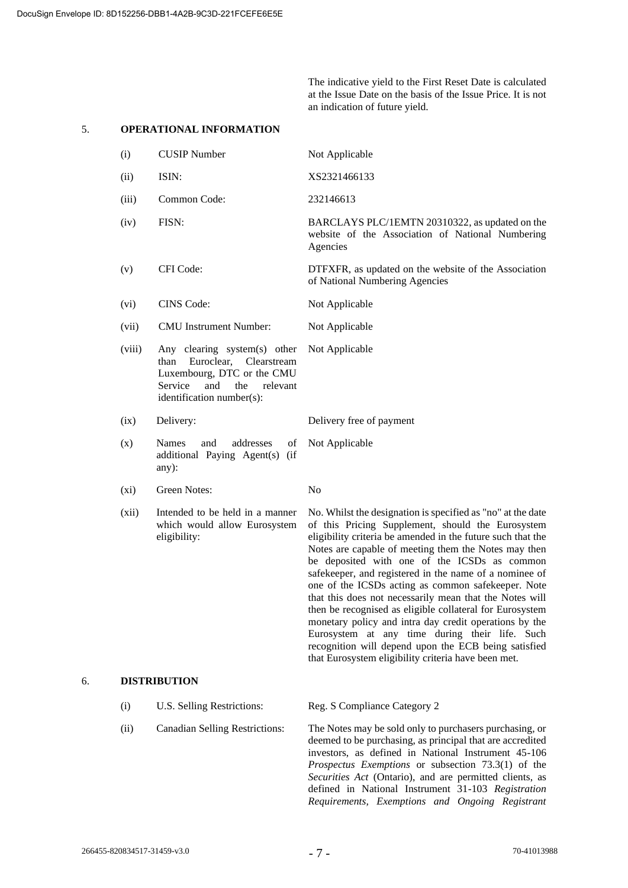The indicative yield to the First Reset Date is calculated at the Issue Date on the basis of the Issue Price. It is not an indication of future yield.

recognition will depend upon the ECB being satisfied that Eurosystem eligibility criteria have been met.

# 5. **OPERATIONAL INFORMATION**

| (i)    | <b>CUSIP</b> Number                                                                                                                                               | Not Applicable                                                                                                                                                                                                                                                                                                                                                                                                                                                                                                                                                                                                                             |
|--------|-------------------------------------------------------------------------------------------------------------------------------------------------------------------|--------------------------------------------------------------------------------------------------------------------------------------------------------------------------------------------------------------------------------------------------------------------------------------------------------------------------------------------------------------------------------------------------------------------------------------------------------------------------------------------------------------------------------------------------------------------------------------------------------------------------------------------|
| (ii)   | ISIN:                                                                                                                                                             | XS2321466133                                                                                                                                                                                                                                                                                                                                                                                                                                                                                                                                                                                                                               |
| (iii)  | Common Code:                                                                                                                                                      | 232146613                                                                                                                                                                                                                                                                                                                                                                                                                                                                                                                                                                                                                                  |
| (iv)   | FISN:                                                                                                                                                             | BARCLAYS PLC/1EMTN 20310322, as updated on the<br>website of the Association of National Numbering<br>Agencies                                                                                                                                                                                                                                                                                                                                                                                                                                                                                                                             |
| (v)    | CFI Code:                                                                                                                                                         | DTFXFR, as updated on the website of the Association<br>of National Numbering Agencies                                                                                                                                                                                                                                                                                                                                                                                                                                                                                                                                                     |
| (vi)   | CINS Code:                                                                                                                                                        | Not Applicable                                                                                                                                                                                                                                                                                                                                                                                                                                                                                                                                                                                                                             |
| (vii)  | <b>CMU</b> Instrument Number:                                                                                                                                     | Not Applicable                                                                                                                                                                                                                                                                                                                                                                                                                                                                                                                                                                                                                             |
| (viii) | Any clearing system(s) other<br>Euroclear,<br>Clearstream<br>than<br>Luxembourg, DTC or the CMU<br>Service<br>and<br>the<br>relevant<br>identification number(s): | Not Applicable                                                                                                                                                                                                                                                                                                                                                                                                                                                                                                                                                                                                                             |
| (ix)   | Delivery:                                                                                                                                                         | Delivery free of payment                                                                                                                                                                                                                                                                                                                                                                                                                                                                                                                                                                                                                   |
| (x)    | <b>Names</b><br>addresses<br>and<br>of<br>additional Paying Agent(s)<br>$($ if<br>any):                                                                           | Not Applicable                                                                                                                                                                                                                                                                                                                                                                                                                                                                                                                                                                                                                             |
| (xi)   | Green Notes:                                                                                                                                                      | N <sub>o</sub>                                                                                                                                                                                                                                                                                                                                                                                                                                                                                                                                                                                                                             |
| (xii)  | Intended to be held in a manner<br>which would allow Eurosystem<br>eligibility:                                                                                   | No. Whilst the designation is specified as "no" at the date<br>of this Pricing Supplement, should the Eurosystem<br>eligibility criteria be amended in the future such that the<br>Notes are capable of meeting them the Notes may then<br>be deposited with one of the ICSDs as common<br>safekeeper, and registered in the name of a nominee of<br>one of the ICSDs acting as common safekeeper. Note<br>that this does not necessarily mean that the Notes will<br>then be recognised as eligible collateral for Eurosystem<br>monetary policy and intra day credit operations by the<br>Eurosystem at any time during their life. Such |

### 6. **DISTRIBUTION**

(i) U.S. Selling Restrictions: Reg. S Compliance Category 2 (ii) Canadian Selling Restrictions: The Notes may be sold only to purchasers purchasing, or deemed to be purchasing, as principal that are accredited investors, as defined in National Instrument 45-106 *Prospectus Exemptions* or subsection 73.3(1) of the *Securities Act* (Ontario), and are permitted clients, as defined in National Instrument 31-103 *Registration Requirements, Exemptions and Ongoing Registrant*